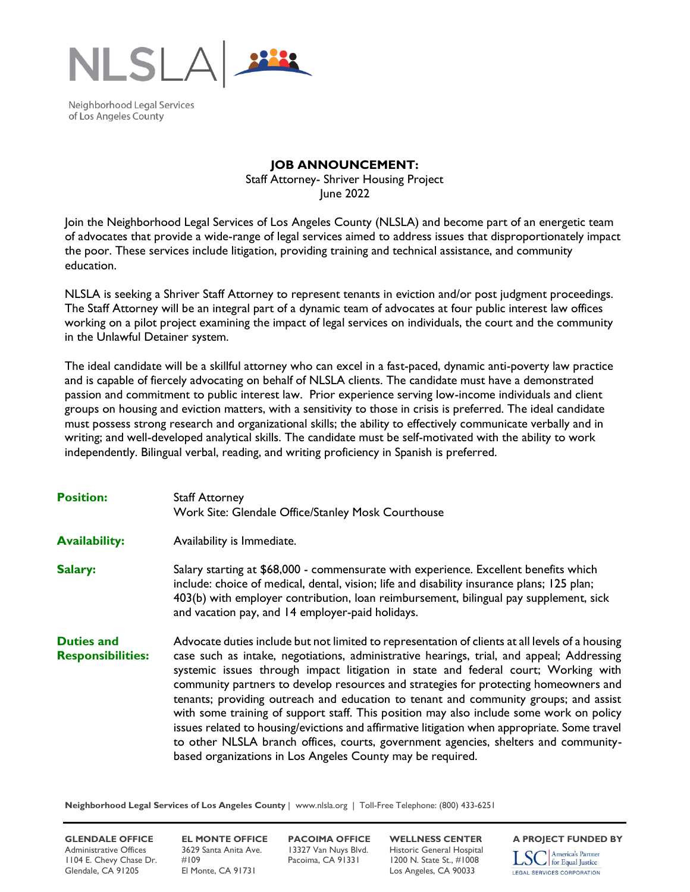

Neighborhood Legal Services of Los Angeles County

## **JOB ANNOUNCEMENT:**

Staff Attorney- Shriver Housing Project June 2022

Join the Neighborhood Legal Services of Los Angeles County (NLSLA) and become part of an energetic team of advocates that provide a wide-range of legal services aimed to address issues that disproportionately impact the poor. These services include litigation, providing training and technical assistance, and community education.

NLSLA is seeking a Shriver Staff Attorney to represent tenants in eviction and/or post judgment proceedings. The Staff Attorney will be an integral part of a dynamic team of advocates at four public interest law offices working on a pilot project examining the impact of legal services on individuals, the court and the community in the Unlawful Detainer system.

The ideal candidate will be a skillful attorney who can excel in a fast-paced, dynamic anti-poverty law practice and is capable of fiercely advocating on behalf of NLSLA clients. The candidate must have a demonstrated passion and commitment to public interest law. Prior experience serving low-income individuals and client groups on housing and eviction matters, with a sensitivity to those in crisis is preferred. The ideal candidate must possess strong research and organizational skills; the ability to effectively communicate verbally and in writing; and well-developed analytical skills. The candidate must be self-motivated with the ability to work independently. Bilingual verbal, reading, and writing proficiency in Spanish is preferred.

| <b>Position:</b>                              | <b>Staff Attorney</b><br>Work Site: Glendale Office/Stanley Mosk Courthouse                                                                                                                                                                                                                                                                                                                                                                                                                                                                                                                                                                                                                                                                                                                                        |
|-----------------------------------------------|--------------------------------------------------------------------------------------------------------------------------------------------------------------------------------------------------------------------------------------------------------------------------------------------------------------------------------------------------------------------------------------------------------------------------------------------------------------------------------------------------------------------------------------------------------------------------------------------------------------------------------------------------------------------------------------------------------------------------------------------------------------------------------------------------------------------|
| <b>Availability:</b>                          | Availability is Immediate.                                                                                                                                                                                                                                                                                                                                                                                                                                                                                                                                                                                                                                                                                                                                                                                         |
| Salary:                                       | Salary starting at \$68,000 - commensurate with experience. Excellent benefits which<br>include: choice of medical, dental, vision; life and disability insurance plans; 125 plan;<br>403(b) with employer contribution, loan reimbursement, bilingual pay supplement, sick<br>and vacation pay, and 14 employer-paid holidays.                                                                                                                                                                                                                                                                                                                                                                                                                                                                                    |
| <b>Duties and</b><br><b>Responsibilities:</b> | Advocate duties include but not limited to representation of clients at all levels of a housing<br>case such as intake, negotiations, administrative hearings, trial, and appeal; Addressing<br>systemic issues through impact litigation in state and federal court; Working with<br>community partners to develop resources and strategies for protecting homeowners and<br>tenants; providing outreach and education to tenant and community groups; and assist<br>with some training of support staff. This position may also include some work on policy<br>issues related to housing/evictions and affirmative litigation when appropriate. Some travel<br>to other NLSLA branch offices, courts, government agencies, shelters and community-<br>based organizations in Los Angeles County may be required. |

**Neighborhood Legal Services of Los Angeles County** | www.nlsla.org | Toll-Free Telephone: (800) 433-6251

**GLENDALE OFFICE EL MONTE OFFICE PACOIMA OFFICE WELLNESS CENTER** A PROJECT FUNDED BY<br>Administrative Offices 3629 Santa Anita Ave. 13327 Van Nuys Blvd. Historic General Hospital **Trangel America's Partner** Administrative Offices 3629 Santa Anita Ave. 13327 Van Nuys Blvd. Historic General Hospital<br>1104 E. Chevy Chase Dr. #109 Pacoima, CA 91331 1200 N. State St., #1008 1104 E. Chevy Chase Dr. #109 Pacoima, CA 91331 1200 N. State St., #1008 Glendale, CA 91205 El Monte, CA 91731 Los Angeles, CA 90033